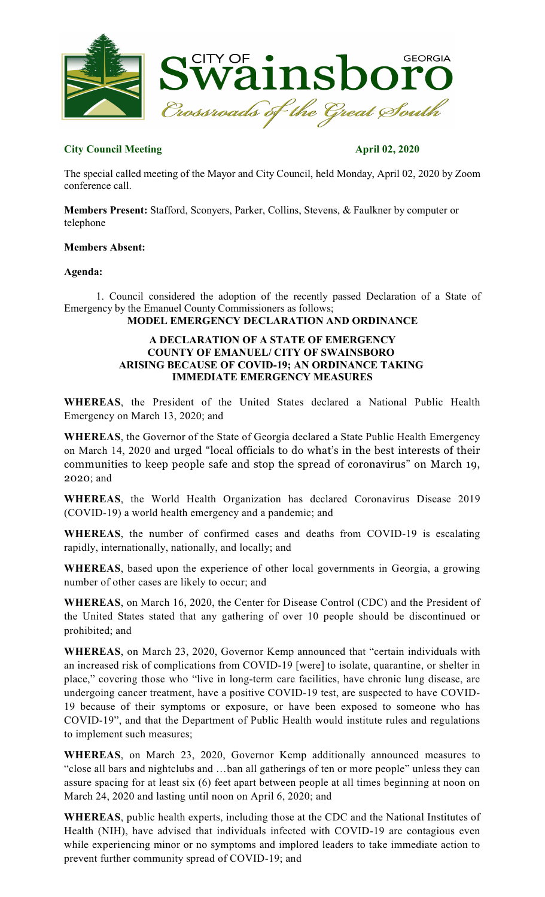

# **City Council Meeting April 02, 2020**

The special called meeting of the Mayor and City Council, held Monday, April 02, 2020 by Zoom conference call.

**Members Present:** Stafford, Sconyers, Parker, Collins, Stevens, & Faulkner by computer or telephone

## **Members Absent:**

## **Agenda:**

1. Council considered the adoption of the recently passed Declaration of a State of Emergency by the Emanuel County Commissioners as follows;

# **MODEL EMERGENCY DECLARATION AND ORDINANCE**

#### **A DECLARATION OF A STATE OF EMERGENCY COUNTY OF EMANUEL/ CITY OF SWAINSBORO ARISING BECAUSE OF COVID-19; AN ORDINANCE TAKING IMMEDIATE EMERGENCY MEASURES**

**WHEREAS**, the President of the United States declared a National Public Health Emergency on March 13, 2020; and

**WHEREAS**, the Governor of the State of Georgia declared a State Public Health Emergency on March 14, 2020 and urged "local officials to do what's in the best interests of their communities to keep people safe and stop the spread of coronavirus" on March 19, 2020; and

**WHEREAS**, the World Health Organization has declared Coronavirus Disease 2019 (COVID-19) a world health emergency and a pandemic; and

**WHEREAS**, the number of confirmed cases and deaths from COVID-19 is escalating rapidly, internationally, nationally, and locally; and

**WHEREAS**, based upon the experience of other local governments in Georgia, a growing number of other cases are likely to occur; and

**WHEREAS**, on March 16, 2020, the Center for Disease Control (CDC) and the President of the United States stated that any gathering of over 10 people should be discontinued or prohibited; and

**WHEREAS**, on March 23, 2020, Governor Kemp announced that "certain individuals with an increased risk of complications from COVID-19 [were] to isolate, quarantine, or shelter in place," covering those who "live in long-term care facilities, have chronic lung disease, are undergoing cancer treatment, have a positive COVID-19 test, are suspected to have COVID-19 because of their symptoms or exposure, or have been exposed to someone who has COVID-19", and that the Department of Public Health would institute rules and regulations to implement such measures;

**WHEREAS**, on March 23, 2020, Governor Kemp additionally announced measures to "close all bars and nightclubs and …ban all gatherings of ten or more people" unless they can assure spacing for at least six (6) feet apart between people at all times beginning at noon on March 24, 2020 and lasting until noon on April 6, 2020; and

**WHEREAS**, public health experts, including those at the CDC and the National Institutes of Health (NIH), have advised that individuals infected with COVID-19 are contagious even while experiencing minor or no symptoms and implored leaders to take immediate action to prevent further community spread of COVID-19; and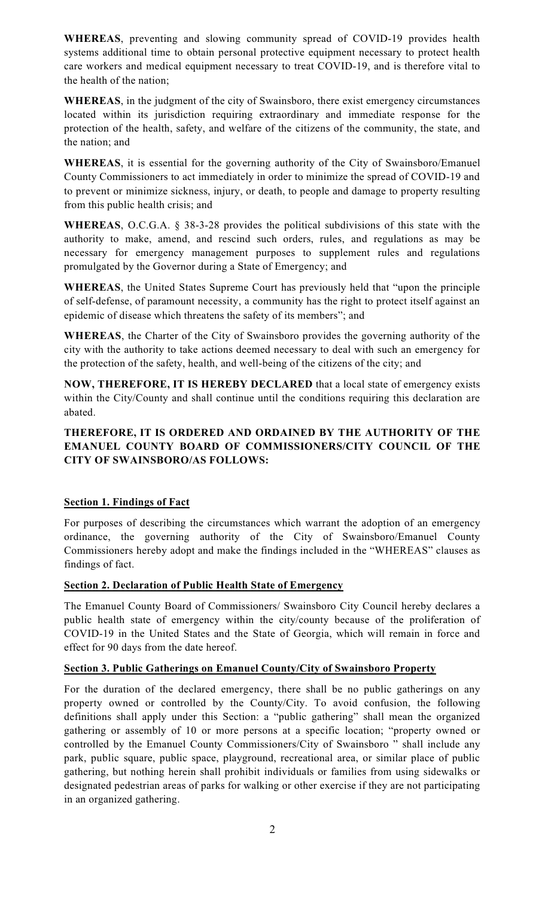**WHEREAS**, preventing and slowing community spread of COVID-19 provides health systems additional time to obtain personal protective equipment necessary to protect health care workers and medical equipment necessary to treat COVID-19, and is therefore vital to the health of the nation;

**WHEREAS**, in the judgment of the city of Swainsboro, there exist emergency circumstances located within its jurisdiction requiring extraordinary and immediate response for the protection of the health, safety, and welfare of the citizens of the community, the state, and the nation; and

**WHEREAS**, it is essential for the governing authority of the City of Swainsboro/Emanuel County Commissioners to act immediately in order to minimize the spread of COVID-19 and to prevent or minimize sickness, injury, or death, to people and damage to property resulting from this public health crisis; and

**WHEREAS**, O.C.G.A. § 38-3-28 provides the political subdivisions of this state with the authority to make, amend, and rescind such orders, rules, and regulations as may be necessary for emergency management purposes to supplement rules and regulations promulgated by the Governor during a State of Emergency; and

**WHEREAS**, the United States Supreme Court has previously held that "upon the principle of self-defense, of paramount necessity, a community has the right to protect itself against an epidemic of disease which threatens the safety of its members"; and

**WHEREAS**, the Charter of the City of Swainsboro provides the governing authority of the city with the authority to take actions deemed necessary to deal with such an emergency for the protection of the safety, health, and well-being of the citizens of the city; and

**NOW, THEREFORE, IT IS HEREBY DECLARED** that a local state of emergency exists within the City/County and shall continue until the conditions requiring this declaration are abated.

# **THEREFORE, IT IS ORDERED AND ORDAINED BY THE AUTHORITY OF THE EMANUEL COUNTY BOARD OF COMMISSIONERS/CITY COUNCIL OF THE CITY OF SWAINSBORO/AS FOLLOWS:**

# **Section 1. Findings of Fact**

For purposes of describing the circumstances which warrant the adoption of an emergency ordinance, the governing authority of the City of Swainsboro/Emanuel County Commissioners hereby adopt and make the findings included in the "WHEREAS" clauses as findings of fact.

# **Section 2. Declaration of Public Health State of Emergency**

The Emanuel County Board of Commissioners/ Swainsboro City Council hereby declares a public health state of emergency within the city/county because of the proliferation of COVID-19 in the United States and the State of Georgia, which will remain in force and effect for 90 days from the date hereof.

# **Section 3. Public Gatherings on Emanuel County/City of Swainsboro Property**

For the duration of the declared emergency, there shall be no public gatherings on any property owned or controlled by the County/City. To avoid confusion, the following definitions shall apply under this Section: a "public gathering" shall mean the organized gathering or assembly of 10 or more persons at a specific location; "property owned or controlled by the Emanuel County Commissioners/City of Swainsboro " shall include any park, public square, public space, playground, recreational area, or similar place of public gathering, but nothing herein shall prohibit individuals or families from using sidewalks or designated pedestrian areas of parks for walking or other exercise if they are not participating in an organized gathering.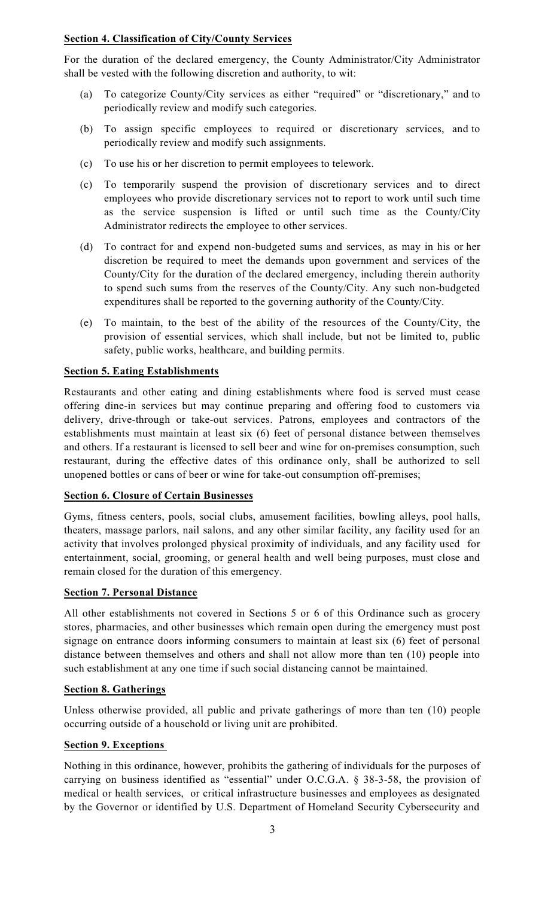# **Section 4. Classification of City/County Services**

For the duration of the declared emergency, the County Administrator/City Administrator shall be vested with the following discretion and authority, to wit:

- (a) To categorize County/City services as either "required" or "discretionary," and to periodically review and modify such categories.
- (b) To assign specific employees to required or discretionary services, and to periodically review and modify such assignments.
- (c) To use his or her discretion to permit employees to telework.
- (c) To temporarily suspend the provision of discretionary services and to direct employees who provide discretionary services not to report to work until such time as the service suspension is lifted or until such time as the County/City Administrator redirects the employee to other services.
- (d) To contract for and expend non-budgeted sums and services, as may in his or her discretion be required to meet the demands upon government and services of the County/City for the duration of the declared emergency, including therein authority to spend such sums from the reserves of the County/City. Any such non-budgeted expenditures shall be reported to the governing authority of the County/City.
- (e) To maintain, to the best of the ability of the resources of the County/City, the provision of essential services, which shall include, but not be limited to, public safety, public works, healthcare, and building permits.

# **Section 5. Eating Establishments**

Restaurants and other eating and dining establishments where food is served must cease offering dine-in services but may continue preparing and offering food to customers via delivery, drive-through or take-out services. Patrons, employees and contractors of the establishments must maintain at least six (6) feet of personal distance between themselves and others. If a restaurant is licensed to sell beer and wine for on-premises consumption, such restaurant, during the effective dates of this ordinance only, shall be authorized to sell unopened bottles or cans of beer or wine for take-out consumption off-premises;

## **Section 6. Closure of Certain Businesses**

Gyms, fitness centers, pools, social clubs, amusement facilities, bowling alleys, pool halls, theaters, massage parlors, nail salons, and any other similar facility, any facility used for an activity that involves prolonged physical proximity of individuals, and any facility used for entertainment, social, grooming, or general health and well being purposes, must close and remain closed for the duration of this emergency.

## **Section 7. Personal Distance**

All other establishments not covered in Sections 5 or 6 of this Ordinance such as grocery stores, pharmacies, and other businesses which remain open during the emergency must post signage on entrance doors informing consumers to maintain at least six (6) feet of personal distance between themselves and others and shall not allow more than ten (10) people into such establishment at any one time if such social distancing cannot be maintained.

## **Section 8. Gatherings**

Unless otherwise provided, all public and private gatherings of more than ten (10) people occurring outside of a household or living unit are prohibited.

# **Section 9. Exceptions**

Nothing in this ordinance, however, prohibits the gathering of individuals for the purposes of carrying on business identified as "essential" under O.C.G.A. § 38-3-58, the provision of medical or health services, or critical infrastructure businesses and employees as designated by the Governor or identified by U.S. Department of Homeland Security Cybersecurity and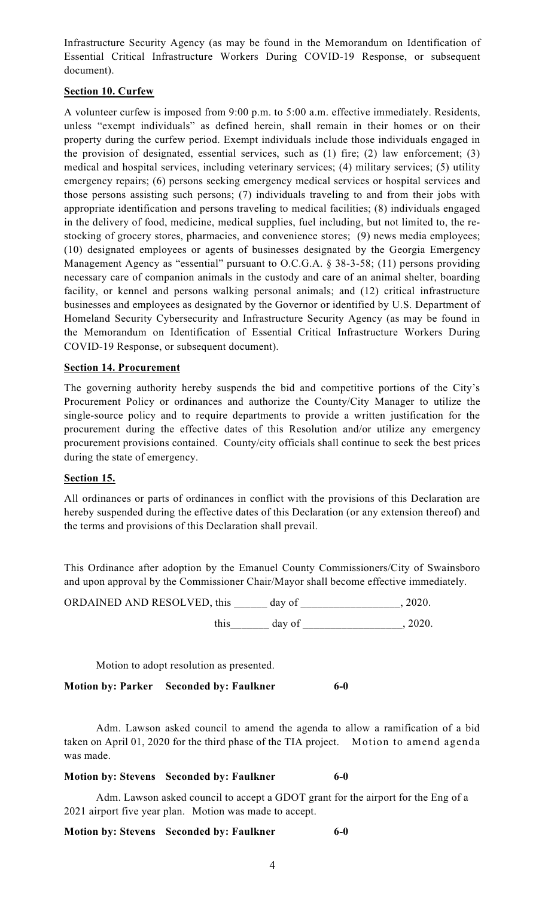Infrastructure Security Agency (as may be found in the Memorandum on Identification of Essential Critical Infrastructure Workers During COVID-19 Response, or subsequent document).

# **Section 10. Curfew**

A volunteer curfew is imposed from 9:00 p.m. to 5:00 a.m. effective immediately. Residents, unless "exempt individuals" as defined herein, shall remain in their homes or on their property during the curfew period. Exempt individuals include those individuals engaged in the provision of designated, essential services, such as (1) fire; (2) law enforcement; (3) medical and hospital services, including veterinary services; (4) military services; (5) utility emergency repairs; (6) persons seeking emergency medical services or hospital services and those persons assisting such persons; (7) individuals traveling to and from their jobs with appropriate identification and persons traveling to medical facilities; (8) individuals engaged in the delivery of food, medicine, medical supplies, fuel including, but not limited to, the restocking of grocery stores, pharmacies, and convenience stores; (9) news media employees; (10) designated employees or agents of businesses designated by the Georgia Emergency Management Agency as "essential" pursuant to O.C.G.A. § 38-3-58; (11) persons providing necessary care of companion animals in the custody and care of an animal shelter, boarding facility, or kennel and persons walking personal animals; and (12) critical infrastructure businesses and employees as designated by the Governor or identified by U.S. Department of Homeland Security Cybersecurity and Infrastructure Security Agency (as may be found in the Memorandum on Identification of Essential Critical Infrastructure Workers During COVID-19 Response, or subsequent document).

# **Section 14. Procurement**

The governing authority hereby suspends the bid and competitive portions of the City's Procurement Policy or ordinances and authorize the County/City Manager to utilize the single-source policy and to require departments to provide a written justification for the procurement during the effective dates of this Resolution and/or utilize any emergency procurement provisions contained. County/city officials shall continue to seek the best prices during the state of emergency.

## **Section 15.**

All ordinances or parts of ordinances in conflict with the provisions of this Declaration are hereby suspended during the effective dates of this Declaration (or any extension thereof) and the terms and provisions of this Declaration shall prevail.

This Ordinance after adoption by the Emanuel County Commissioners/City of Swainsboro and upon approval by the Commissioner Chair/Mayor shall become effective immediately.

| ORDAINED AND RESOLVED, this | day of | 2020. |
|-----------------------------|--------|-------|
| this                        | day of | 2020. |

Motion to adopt resolution as presented.

**Motion by: Parker Seconded by: Faulkner 6-0**

Adm. Lawson asked council to amend the agenda to allow a ramification of a bid taken on April 01, 2020 for the third phase of the TIA project. Motion to amend agenda was made.

## **Motion by: Stevens Seconded by: Faulkner 6-0**

Adm. Lawson asked council to accept a GDOT grant for the airport for the Eng of a 2021 airport five year plan. Motion was made to accept.

## **Motion by: Stevens Seconded by: Faulkner 6-0**